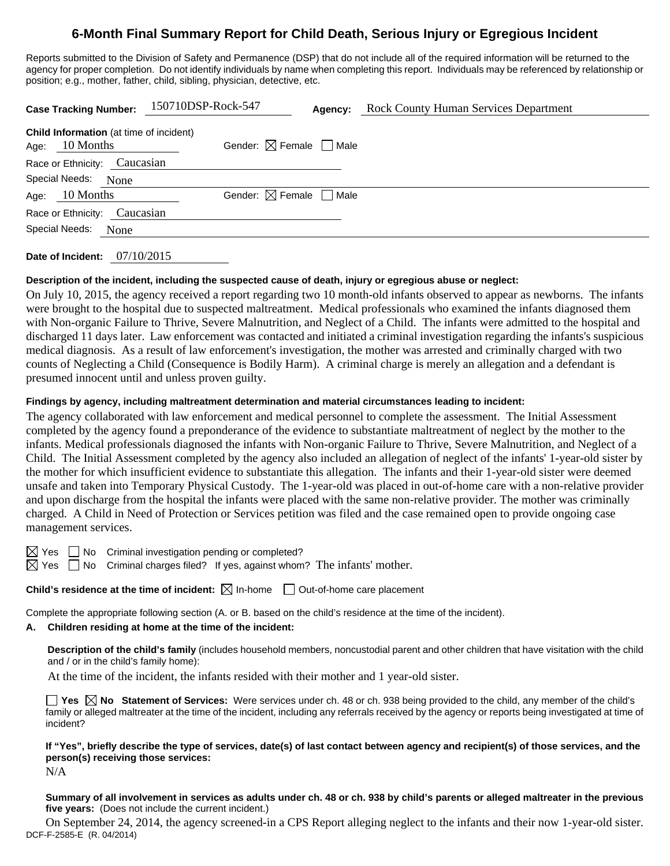# **6-Month Final Summary Report for Child Death, Serious Injury or Egregious Incident**

Reports submitted to the Division of Safety and Permanence (DSP) that do not include all of the required information will be returned to the agency for proper completion. Do not identify individuals by name when completing this report. Individuals may be referenced by relationship or position; e.g., mother, father, child, sibling, physician, detective, etc.

| <b>Case Tracking Number:</b>                                     | 150710DSP-Rock-547                     | Agency: | <b>Rock County Human Services Department</b> |
|------------------------------------------------------------------|----------------------------------------|---------|----------------------------------------------|
| <b>Child Information</b> (at time of incident)<br>Age: 10 Months | Gender: $\boxtimes$ Female $\Box$ Male |         |                                              |
| Race or Ethnicity: Caucasian                                     |                                        |         |                                              |
| Special Needs:<br>None                                           |                                        |         |                                              |
| Age: $10$ Months                                                 | Gender: $\boxtimes$ Female $\Box$ Male |         |                                              |
| Race or Ethnicity: Caucasian                                     |                                        |         |                                              |
| Special Needs:<br>None                                           |                                        |         |                                              |
|                                                                  |                                        |         |                                              |

**Date of Incident:** 07/10/2015

### **Description of the incident, including the suspected cause of death, injury or egregious abuse or neglect:**

On July 10, 2015, the agency received a report regarding two 10 month-old infants observed to appear as newborns. The infants were brought to the hospital due to suspected maltreatment. Medical professionals who examined the infants diagnosed them with Non-organic Failure to Thrive, Severe Malnutrition, and Neglect of a Child. The infants were admitted to the hospital and discharged 11 days later. Law enforcement was contacted and initiated a criminal investigation regarding the infants's suspicious medical diagnosis. As a result of law enforcement's investigation, the mother was arrested and criminally charged with two counts of Neglecting a Child (Consequence is Bodily Harm). A criminal charge is merely an allegation and a defendant is presumed innocent until and unless proven guilty.

### **Findings by agency, including maltreatment determination and material circumstances leading to incident:**

The agency collaborated with law enforcement and medical personnel to complete the assessment. The Initial Assessment completed by the agency found a preponderance of the evidence to substantiate maltreatment of neglect by the mother to the infants. Medical professionals diagnosed the infants with Non-organic Failure to Thrive, Severe Malnutrition, and Neglect of a Child. The Initial Assessment completed by the agency also included an allegation of neglect of the infants' 1-year-old sister by the mother for which insufficient evidence to substantiate this allegation. The infants and their 1-year-old sister were deemed unsafe and taken into Temporary Physical Custody. The 1-year-old was placed in out-of-home care with a non-relative provider and upon discharge from the hospital the infants were placed with the same non-relative provider. The mother was criminally charged. A Child in Need of Protection or Services petition was filed and the case remained open to provide ongoing case management services.

 $\boxtimes$  Yes  $\Box$  No Criminal investigation pending or completed?

 $\boxtimes$  Yes  $\Box$  No Criminal charges filed? If yes, against whom? The infants' mother.

## **Child's residence at the time of incident:**  $\boxtimes$  In-home  $\Box$  Out-of-home care placement

Complete the appropriate following section (A. or B. based on the child's residence at the time of the incident).

## **A. Children residing at home at the time of the incident:**

**Description of the child's family** (includes household members, noncustodial parent and other children that have visitation with the child and / or in the child's family home):

At the time of the incident, the infants resided with their mother and 1 year-old sister.

**Yes No Statement of Services:** Were services under ch. 48 or ch. 938 being provided to the child, any member of the child's family or alleged maltreater at the time of the incident, including any referrals received by the agency or reports being investigated at time of incident?

**If "Yes", briefly describe the type of services, date(s) of last contact between agency and recipient(s) of those services, and the person(s) receiving those services:** 

N/A

**Summary of all involvement in services as adults under ch. 48 or ch. 938 by child's parents or alleged maltreater in the previous five years:** (Does not include the current incident.)

DCF-F-2585-E (R. 04/2014) On September 24, 2014, the agency screened-in a CPS Report alleging neglect to the infants and their now 1-year-old sister.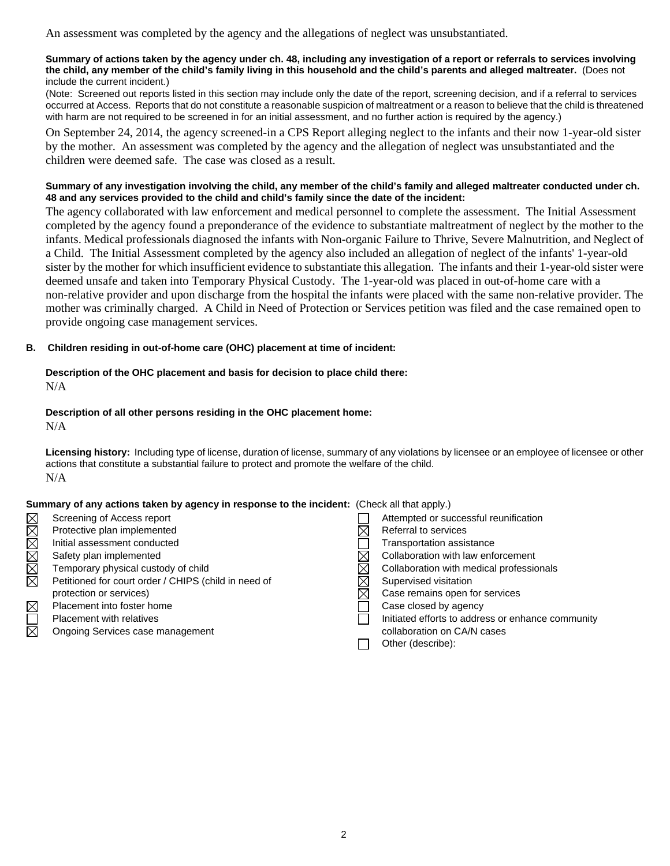An assessment was completed by the agency and the allegations of neglect was unsubstantiated.

#### **Summary of actions taken by the agency under ch. 48, including any investigation of a report or referrals to services involving the child, any member of the child's family living in this household and the child's parents and alleged maltreater.** (Does not include the current incident.)

(Note: Screened out reports listed in this section may include only the date of the report, screening decision, and if a referral to services occurred at Access. Reports that do not constitute a reasonable suspicion of maltreatment or a reason to believe that the child is threatened with harm are not required to be screened in for an initial assessment, and no further action is required by the agency.)

On September 24, 2014, the agency screened-in a CPS Report alleging neglect to the infants and their now 1-year-old sister by the mother. An assessment was completed by the agency and the allegation of neglect was unsubstantiated and the children were deemed safe. The case was closed as a result.

#### **Summary of any investigation involving the child, any member of the child's family and alleged maltreater conducted under ch. 48 and any services provided to the child and child's family since the date of the incident:**

The agency collaborated with law enforcement and medical personnel to complete the assessment. The Initial Assessment completed by the agency found a preponderance of the evidence to substantiate maltreatment of neglect by the mother to the infants. Medical professionals diagnosed the infants with Non-organic Failure to Thrive, Severe Malnutrition, and Neglect of a Child. The Initial Assessment completed by the agency also included an allegation of neglect of the infants' 1-year-old sister by the mother for which insufficient evidence to substantiate this allegation. The infants and their 1-year-old sister were deemed unsafe and taken into Temporary Physical Custody. The 1-year-old was placed in out-of-home care with a non-relative provider and upon discharge from the hospital the infants were placed with the same non-relative provider. The mother was criminally charged. A Child in Need of Protection or Services petition was filed and the case remained open to provide ongoing case management services.

## **B. Children residing in out-of-home care (OHC) placement at time of incident:**

## **Description of the OHC placement and basis for decision to place child there:**  N/A

## **Description of all other persons residing in the OHC placement home:**

N/A

**Licensing history:** Including type of license, duration of license, summary of any violations by licensee or an employee of licensee or other actions that constitute a substantial failure to protect and promote the welfare of the child. N/A

### **Summary of any actions taken by agency in response to the incident:** (Check all that apply.)

| $\boxtimes$ | Screening of Access report                           |   | Attempted or successful reunification             |
|-------------|------------------------------------------------------|---|---------------------------------------------------|
|             | Protective plan implemented                          |   | Referral to services                              |
| $\boxtimes$ | Initial assessment conducted                         |   | Transportation assistance                         |
| $\boxtimes$ | Safety plan implemented                              |   | Collaboration with law enforcement                |
| <b>NN</b>   | Temporary physical custody of child                  | ⋉ | Collaboration with medical professionals          |
|             | Petitioned for court order / CHIPS (child in need of |   | Supervised visitation                             |
|             | protection or services)                              |   | Case remains open for services                    |
| $\boxtimes$ | Placement into foster home                           |   | Case closed by agency                             |
|             | <b>Placement with relatives</b>                      |   | Initiated efforts to address or enhance community |
| $\boxtimes$ | Ongoing Services case management                     |   | collaboration on CA/N cases                       |
|             |                                                      |   | Other (describe):                                 |
|             |                                                      |   |                                                   |